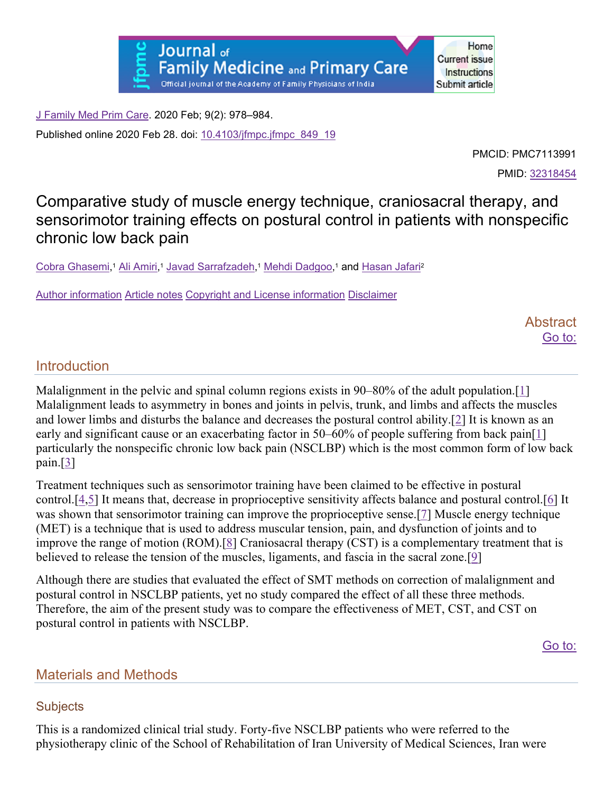J Family Med Prim Care. 2020 Feb; 9(2): 978–984.

Published online 2020 Feb 28. doi: 10.4103/jfmpc.jfmpc\_849\_19

PMCID: PMC7113991

Home

PMID: 32318454

# Comparative study of muscle energy technique, craniosacral therapy, and sensorimotor training effects on postural control in patients with nonspecific chronic low back pain

Cobra Ghasemi, <sup>1</sup> Ali Amiri, <sup>1</sup> Javad Sarrafzadeh, <sup>1</sup> Mehdi Dadgoo, 1 and Hasan Jafari2

Author information Article notes Copyright and License information Disclaimer

**Abstract** Go to:

# Introduction

Malalignment in the pelvic and spinal column regions exists in  $90-80\%$  of the adult population.[1] Malalignment leads to asymmetry in bones and joints in pelvis, trunk, and limbs and affects the muscles and lower limbs and disturbs the balance and decreases the postural control ability.[2] It is known as an early and significant cause or an exacerbating factor in 50–60% of people suffering from back pain[1] particularly the nonspecific chronic low back pain (NSCLBP) which is the most common form of low back pain.[3]

Treatment techniques such as sensorimotor training have been claimed to be effective in postural control.[4,5] It means that, decrease in proprioceptive sensitivity affects balance and postural control.[6] It was shown that sensorimotor training can improve the proprioceptive sense.[7] Muscle energy technique (MET) is a technique that is used to address muscular tension, pain, and dysfunction of joints and to improve the range of motion (ROM).[8] Craniosacral therapy (CST) is a complementary treatment that is believed to release the tension of the muscles, ligaments, and fascia in the sacral zone.[9]

Although there are studies that evaluated the effect of SMT methods on correction of malalignment and postural control in NSCLBP patients, yet no study compared the effect of all these three methods. Therefore, the aim of the present study was to compare the effectiveness of MET, CST, and CST on postural control in patients with NSCLBP.

Go to:

# Materials and Methods

### **Subjects**

This is a randomized clinical trial study. Forty-five NSCLBP patients who were referred to the physiotherapy clinic of the School of Rehabilitation of Iran University of Medical Sciences, Iran were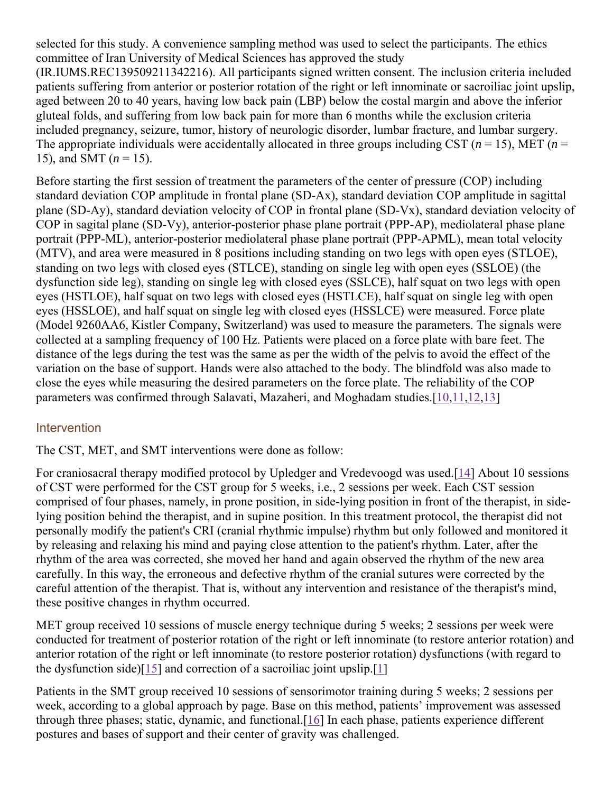selected for this study. A convenience sampling method was used to select the participants. The ethics committee of Iran University of Medical Sciences has approved the study

(IR.IUMS.REC139509211342216). All participants signed written consent. The inclusion criteria included patients suffering from anterior or posterior rotation of the right or left innominate or sacroiliac joint upslip, aged between 20 to 40 years, having low back pain (LBP) below the costal margin and above the inferior gluteal folds, and suffering from low back pain for more than 6 months while the exclusion criteria included pregnancy, seizure, tumor, history of neurologic disorder, lumbar fracture, and lumbar surgery. The appropriate individuals were accidentally allocated in three groups including CST ( $n = 15$ ), MET ( $n = 15$ ) 15), and SMT (*n* = 15).

Before starting the first session of treatment the parameters of the center of pressure (COP) including standard deviation COP amplitude in frontal plane (SD-Ax), standard deviation COP amplitude in sagittal plane (SD-Ay), standard deviation velocity of COP in frontal plane (SD-Vx), standard deviation velocity of COP in sagital plane (SD-Vy), anterior-posterior phase plane portrait (PPP-AP), mediolateral phase plane portrait (PPP-ML), anterior-posterior mediolateral phase plane portrait (PPP-APML), mean total velocity (MTV), and area were measured in 8 positions including standing on two legs with open eyes (STLOE), standing on two legs with closed eyes (STLCE), standing on single leg with open eyes (SSLOE) (the dysfunction side leg), standing on single leg with closed eyes (SSLCE), half squat on two legs with open eyes (HSTLOE), half squat on two legs with closed eyes (HSTLCE), half squat on single leg with open eyes (HSSLOE), and half squat on single leg with closed eyes (HSSLCE) were measured. Force plate (Model 9260AA6, Kistler Company, Switzerland) was used to measure the parameters. The signals were collected at a sampling frequency of 100 Hz. Patients were placed on a force plate with bare feet. The distance of the legs during the test was the same as per the width of the pelvis to avoid the effect of the variation on the base of support. Hands were also attached to the body. The blindfold was also made to close the eyes while measuring the desired parameters on the force plate. The reliability of the COP parameters was confirmed through Salavati, Mazaheri, and Moghadam studies.[10,11,12,13]

### **Intervention**

The CST, MET, and SMT interventions were done as follow:

For craniosacral therapy modified protocol by Upledger and Vredevoogd was used.[14] About 10 sessions of CST were performed for the CST group for 5 weeks, i.e., 2 sessions per week. Each CST session comprised of four phases, namely, in prone position, in side-lying position in front of the therapist, in sidelying position behind the therapist, and in supine position. In this treatment protocol, the therapist did not personally modify the patient's CRI (cranial rhythmic impulse) rhythm but only followed and monitored it by releasing and relaxing his mind and paying close attention to the patient's rhythm. Later, after the rhythm of the area was corrected, she moved her hand and again observed the rhythm of the new area carefully. In this way, the erroneous and defective rhythm of the cranial sutures were corrected by the careful attention of the therapist. That is, without any intervention and resistance of the therapist's mind, these positive changes in rhythm occurred.

MET group received 10 sessions of muscle energy technique during 5 weeks; 2 sessions per week were conducted for treatment of posterior rotation of the right or left innominate (to restore anterior rotation) and anterior rotation of the right or left innominate (to restore posterior rotation) dysfunctions (with regard to the dysfunction side)[15] and correction of a sacroiliac joint upslip.[1]

Patients in the SMT group received 10 sessions of sensorimotor training during 5 weeks; 2 sessions per week, according to a global approach by page. Base on this method, patients' improvement was assessed through three phases; static, dynamic, and functional.[16] In each phase, patients experience different postures and bases of support and their center of gravity was challenged.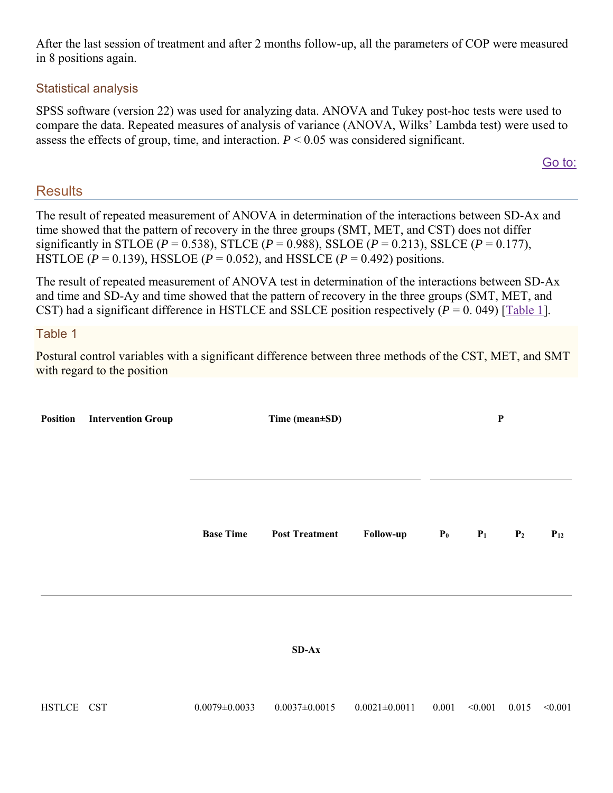After the last session of treatment and after 2 months follow-up, all the parameters of COP were measured in 8 positions again.

#### Statistical analysis

SPSS software (version 22) was used for analyzing data. ANOVA and Tukey post-hoc tests were used to compare the data. Repeated measures of analysis of variance (ANOVA, Wilks' Lambda test) were used to assess the effects of group, time, and interaction.  $P \leq 0.05$  was considered significant.

#### Go to:

### **Results**

The result of repeated measurement of ANOVA in determination of the interactions between SD-Ax and time showed that the pattern of recovery in the three groups (SMT, MET, and CST) does not differ significantly in STLOE ( $P = 0.538$ ), STLCE ( $P = 0.988$ ), SSLOE ( $P = 0.213$ ), SSLCE ( $P = 0.177$ ), HSTLOE ( $P = 0.139$ ), HSSLOE ( $P = 0.052$ ), and HSSLCE ( $P = 0.492$ ) positions.

The result of repeated measurement of ANOVA test in determination of the interactions between SD-Ax and time and SD-Ay and time showed that the pattern of recovery in the three groups (SMT, MET, and CST) had a significant difference in HSTLCE and SSLCE position respectively  $(P = 0.049)$  [Table 1].

#### Table 1

Postural control variables with a significant difference between three methods of the CST, MET, and SMT with regard to the position

| <b>Position</b> | <b>Intervention Group</b> |                     | Time (mean±SD)        |                     |       | $\mathbf{P}$ |                |          |
|-----------------|---------------------------|---------------------|-----------------------|---------------------|-------|--------------|----------------|----------|
|                 |                           | <b>Base Time</b>    | <b>Post Treatment</b> | Follow-up           | $P_0$ | $P_1$        | P <sub>2</sub> | $P_{12}$ |
|                 |                           |                     | $SD-Ax$               |                     |       |              |                |          |
| HSTLCE CST      |                           | $0.0079 \pm 0.0033$ | $0.0037 \pm 0.0015$   | $0.0021 \pm 0.0011$ | 0.001 | < 0.001      | 0.015          | < 0.001  |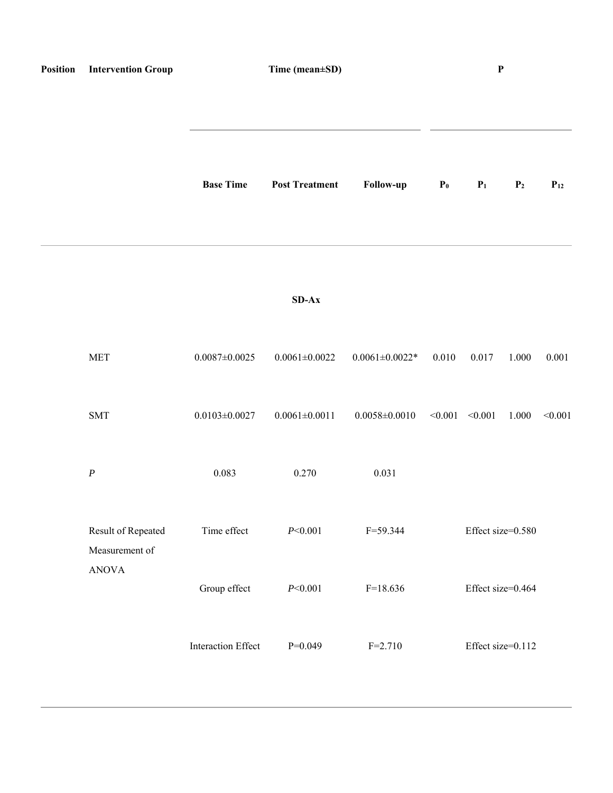| Position | <b>Intervention Group</b>            |                           | Time (mean±SD)        |                       |                | $\mathbf P$         |                |          |
|----------|--------------------------------------|---------------------------|-----------------------|-----------------------|----------------|---------------------|----------------|----------|
|          |                                      | <b>Base Time</b>          | <b>Post Treatment</b> | Follow-up             | $\mathbf{P}_0$ | P <sub>1</sub>      | P <sub>2</sub> | $P_{12}$ |
|          |                                      |                           | $SD-Ax$               |                       |                |                     |                |          |
|          | <b>MET</b>                           | $0.0087 \pm 0.0025$       | $0.0061 \pm 0.0022$   | $0.0061 \pm 0.0022$ * | 0.010          | 0.017               | 1.000          | 0.001    |
|          | SMT                                  | $0.0103 \pm 0.0027$       | $0.0061 \pm 0.0011$   | $0.0058 \pm 0.0010$   |                | $< 0.001$ $< 0.001$ | 1.000          | < 0.001  |
|          | $\boldsymbol{P}$                     | 0.083                     | 0.270                 | 0.031                 |                |                     |                |          |
|          | Result of Repeated<br>Measurement of | Time effect               | P<0.001               | $F = 59.344$          |                | Effect size=0.580   |                |          |
|          | <b>ANOVA</b>                         | Group effect              | P<0.001               | $F=18.636$            |                | Effect size=0.464   |                |          |
|          |                                      | <b>Interaction Effect</b> | $P=0.049$             | $F = 2.710$           |                | Effect size=0.112   |                |          |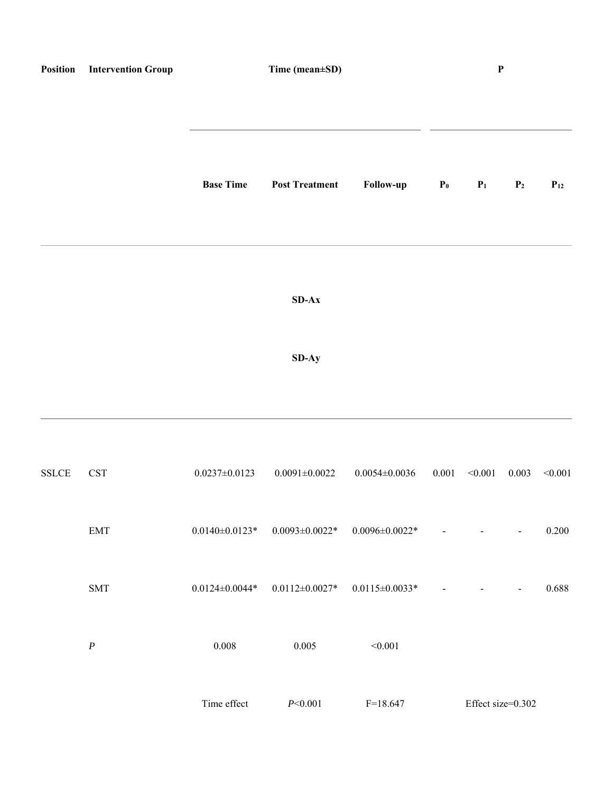| Position     | <b>Intervention Group</b>   |                       | Time (mean±SD)        |                       |       | $\boldsymbol{\mathrm{P}}$ |                          |          |
|--------------|-----------------------------|-----------------------|-----------------------|-----------------------|-------|---------------------------|--------------------------|----------|
|              |                             | <b>Base Time</b>      | <b>Post Treatment</b> | Follow-up             | $P_0$ | P <sub>1</sub>            | P <sub>2</sub>           | $P_{12}$ |
|              |                             |                       | $SD-Ax$               |                       |       |                           |                          |          |
|              |                             |                       | SD-Ay                 |                       |       |                           |                          |          |
| <b>SSLCE</b> | $\operatorname{CST}$        | $0.0237 \pm 0.0123$   | $0.0091 \pm 0.0022$   | $0.0054 \pm 0.0036$   | 0.001 | < 0.001                   | 0.003                    | < 0.001  |
|              | $\ensuremath{\mathrm{EMT}}$ | $0.0140 \pm 0.0123$ * | $0.0093 \pm 0.0022$ * | $0.0096 \pm 0.0022$ * |       |                           | $\overline{\phantom{a}}$ | 0.200    |
|              | $\text{SMT}{}$              | $0.0124 \pm 0.0044$ * | $0.0112 \pm 0.0027$ * | $0.0115 \pm 0.0033$ * |       | $\overline{\phantom{0}}$  | $\overline{\phantom{a}}$ | 0.688    |
|              | $\boldsymbol{P}$            | 0.008                 | 0.005                 | < 0.001               |       |                           |                          |          |
|              |                             | Time effect           | $P<0.001$             | $F=18.647$            |       | Effect size=0.302         |                          |          |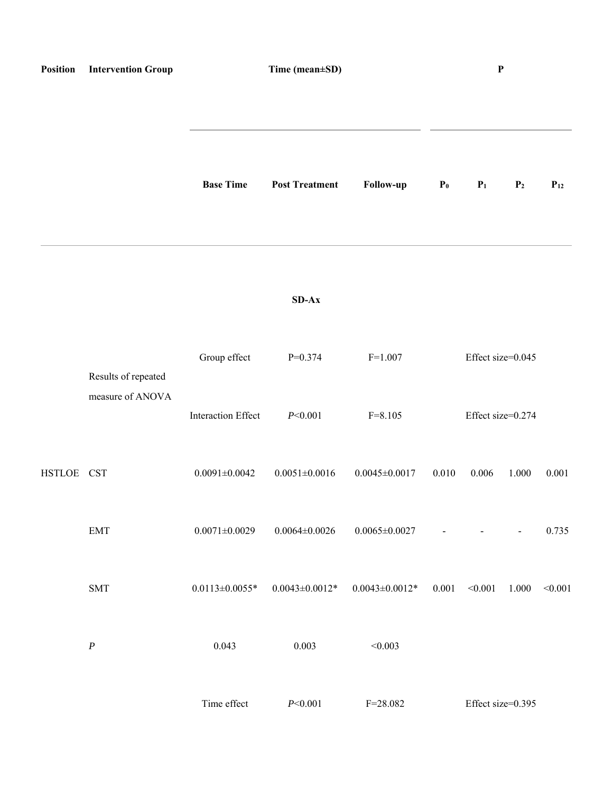| Position   | <b>Intervention Group</b>               |                           | Time (mean±SD)        |                      |                | $\mathbf P$       |                          |          |
|------------|-----------------------------------------|---------------------------|-----------------------|----------------------|----------------|-------------------|--------------------------|----------|
|            |                                         | <b>Base Time</b>          | <b>Post Treatment</b> | Follow-up            | P <sub>0</sub> | P <sub>1</sub>    | P <sub>2</sub>           | $P_{12}$ |
|            |                                         |                           | $SD-Ax$               |                      |                |                   |                          |          |
|            | Results of repeated<br>measure of ANOVA | Group effect              | $P=0.374$             | $F=1.007$            |                | Effect size=0.045 |                          |          |
|            |                                         | <b>Interaction Effect</b> | P<0.001               | $F = 8.105$          |                | Effect size=0.274 |                          |          |
| HSTLOE CST |                                         | $0.0091 \pm 0.0042$       | $0.0051 \pm 0.0016$   | $0.0045 \pm 0.0017$  | 0.010          | 0.006             | 1.000                    | 0.001    |
|            | $\ensuremath{\mathrm{EMT}}$             | $0.0071 \pm 0.0029$       | $0.0064 \pm 0.0026$   | $0.0065 \pm 0.0027$  |                |                   | $\overline{\phantom{a}}$ | 0.735    |
|            | $\operatorname{SMT}$                    | $0.0113 \pm 0.0055$ *     | $0.0043 \pm 0.0012*$  | $0.0043 \pm 0.0012*$ | 0.001          | < 0.001           | 1.000                    | < 0.001  |
|            | $\boldsymbol{P}$                        | 0.043                     | 0.003                 | < 0.003              |                |                   |                          |          |
|            |                                         | Time effect               | P<0.001               | $F = 28.082$         |                | Effect size=0.395 |                          |          |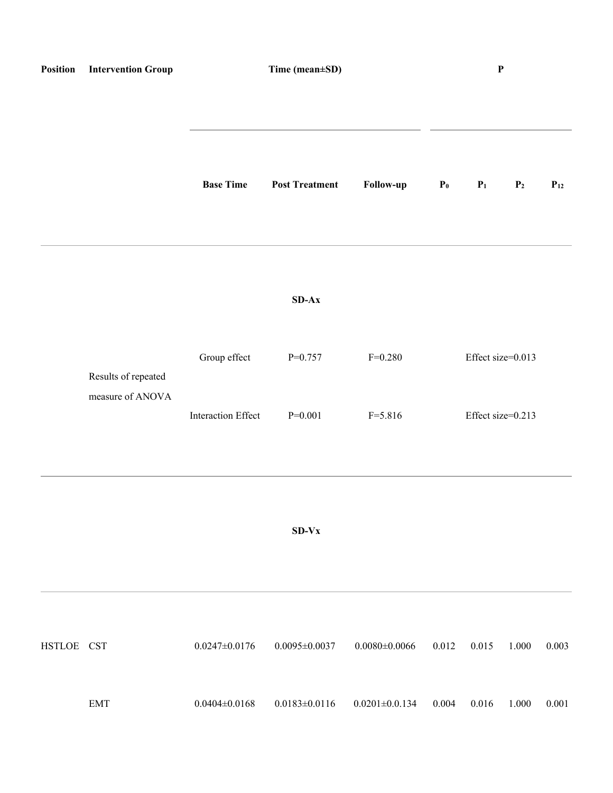| Position   | <b>Intervention Group</b>               |                           | Time (mean±SD)        |                       |       |                   | $\mathbf P$       |          |  |  |
|------------|-----------------------------------------|---------------------------|-----------------------|-----------------------|-------|-------------------|-------------------|----------|--|--|
|            |                                         | <b>Base Time</b>          | <b>Post Treatment</b> | Follow-up             | $P_0$ | P <sub>1</sub>    | P <sub>2</sub>    | $P_{12}$ |  |  |
|            |                                         |                           | $SD-AX$               |                       |       |                   |                   |          |  |  |
|            | Results of repeated<br>measure of ANOVA | Group effect              | $P=0.757$             | $F=0.280$             |       | Effect size=0.013 |                   |          |  |  |
|            |                                         | <b>Interaction Effect</b> | $P=0.001$             | $F = 5.816$           |       |                   | Effect size=0.213 |          |  |  |
|            |                                         |                           | $SD-Vx$               |                       |       |                   |                   |          |  |  |
| HSTLOE CST |                                         | $0.0247 \pm 0.0176$       | $0.0095 \pm 0.0037$   | $0.0080 {\pm} 0.0066$ | 0.012 | 0.015             | 1.000             | 0.003    |  |  |
|            | <b>EMT</b>                              | $0.0404 \pm 0.0168$       | $0.0183 \pm 0.0116$   | $0.0201 \pm 0.0134$   | 0.004 | 0.016             | $1.000\,$         | 0.001    |  |  |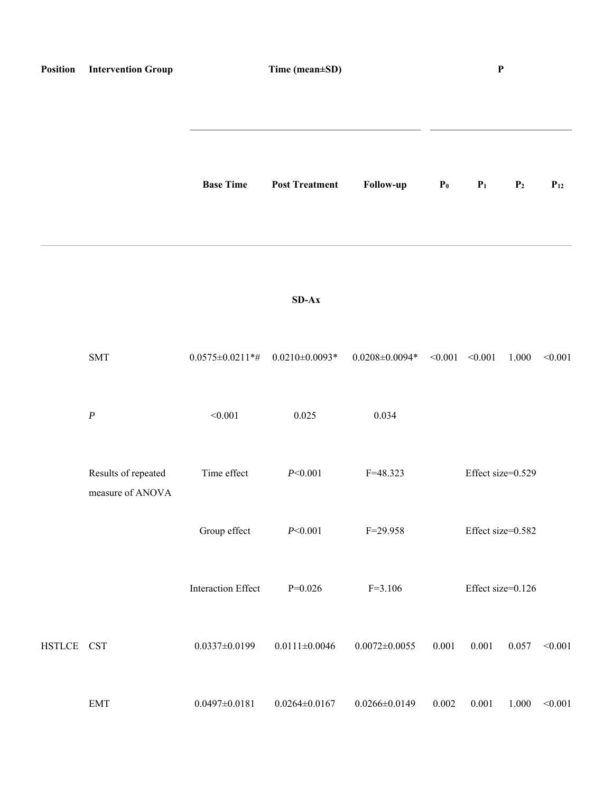| Position   | <b>Intervention Group</b>               |                           | Time (mean±SD)        |                       |                | $\mathbf P$       |                |          |
|------------|-----------------------------------------|---------------------------|-----------------------|-----------------------|----------------|-------------------|----------------|----------|
|            |                                         | <b>Base Time</b>          | <b>Post Treatment</b> | Follow-up             | P <sub>0</sub> | P <sub>1</sub>    | P <sub>2</sub> | $P_{12}$ |
|            |                                         |                           | $SD-Ax$               |                       |                |                   |                |          |
|            | <b>SMT</b>                              | $0.0575 \pm 0.0211$ *#    | $0.0210\pm0.0093*$    | $0.0208 \pm 0.0094$ * | < 0.001        | < 0.001           | 1.000          | < 0.001  |
|            | $\boldsymbol{P}$                        | < 0.001                   | 0.025                 | 0.034                 |                |                   |                |          |
|            | Results of repeated<br>measure of ANOVA | Time effect               | P<0.001               | $F = 48.323$          |                | Effect size=0.529 |                |          |
|            |                                         | Group effect              | P<0.001               | $F = 29.958$          |                | Effect size=0.582 |                |          |
|            |                                         | <b>Interaction Effect</b> | $P=0.026$             | $F=3.106$             |                | Effect size=0.126 |                |          |
| HSTLCE CST |                                         | $0.0337 \pm 0.0199$       | $0.0111 \pm 0.0046$   | $0.0072 \pm 0.0055$   | 0.001          | 0.001             | 0.057          | < 0.001  |
|            | EMT                                     | $0.0497 \pm 0.0181$       | $0.0264 \pm 0.0167$   | $0.0266 \pm 0.0149$   | 0.002          | 0.001             | 1.000          | < 0.001  |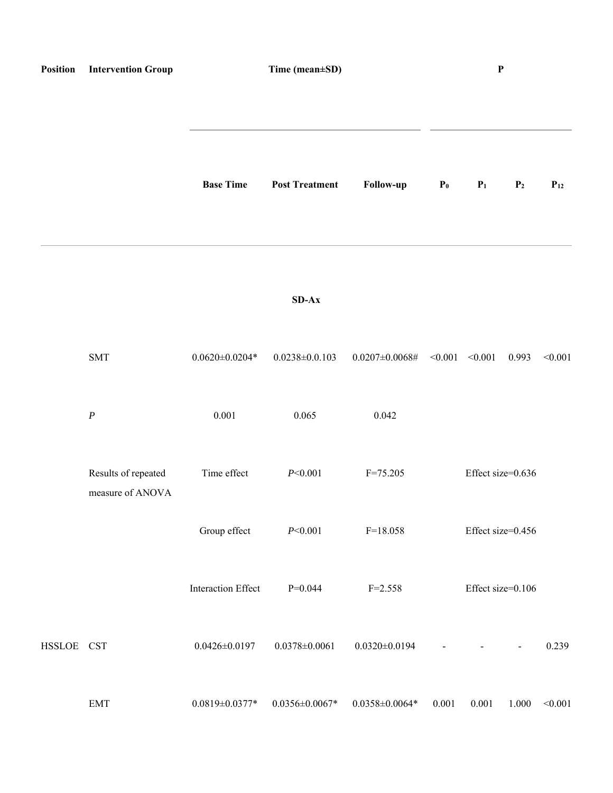| Position   | <b>Intervention Group</b>               |                           | Time (mean±SD)        |                                                                    |       | $\boldsymbol{\mathrm{P}}$<br>$P_0$<br>$P_1$<br>P <sub>2</sub><br>0.993<br>Effect size=0.636<br>Effect size=0.456 |                          |          |
|------------|-----------------------------------------|---------------------------|-----------------------|--------------------------------------------------------------------|-------|------------------------------------------------------------------------------------------------------------------|--------------------------|----------|
|            |                                         | <b>Base Time</b>          | <b>Post Treatment</b> | Follow-up                                                          |       |                                                                                                                  |                          | $P_{12}$ |
|            |                                         |                           | $SD-Ax$               |                                                                    |       |                                                                                                                  |                          |          |
|            | <b>SMT</b>                              | $0.0620 \pm 0.0204$ *     | $0.0238 \pm 0.0.103$  | $0.0207 \pm 0.0068 \# \quad \textless 0.001 \quad \textless 0.001$ |       |                                                                                                                  |                          | < 0.001  |
|            | $\boldsymbol{P}$                        | 0.001                     | 0.065                 | 0.042                                                              |       |                                                                                                                  |                          |          |
|            | Results of repeated<br>measure of ANOVA | Time effect               | P<0.001               | $F = 75.205$                                                       |       |                                                                                                                  |                          |          |
|            |                                         | Group effect              | P<0.001               | $F=18.058$                                                         |       |                                                                                                                  |                          |          |
|            |                                         | <b>Interaction Effect</b> | $P=0.044$             | $F = 2.558$                                                        |       | Effect size=0.106                                                                                                |                          |          |
| HSSLOE CST |                                         | $0.0426 \pm 0.0197$       | $0.0378 \pm 0.0061$   | $0.0320 \pm 0.0194$                                                |       |                                                                                                                  | $\overline{\phantom{a}}$ | 0.239    |
|            | <b>EMT</b>                              | $0.0819 \pm 0.0377$ *     | $0.0356 \pm 0.0067$ * | $0.0358 \pm 0.0064$ *                                              | 0.001 | $0.001\,$                                                                                                        | $1.000\,$                | < 0.001  |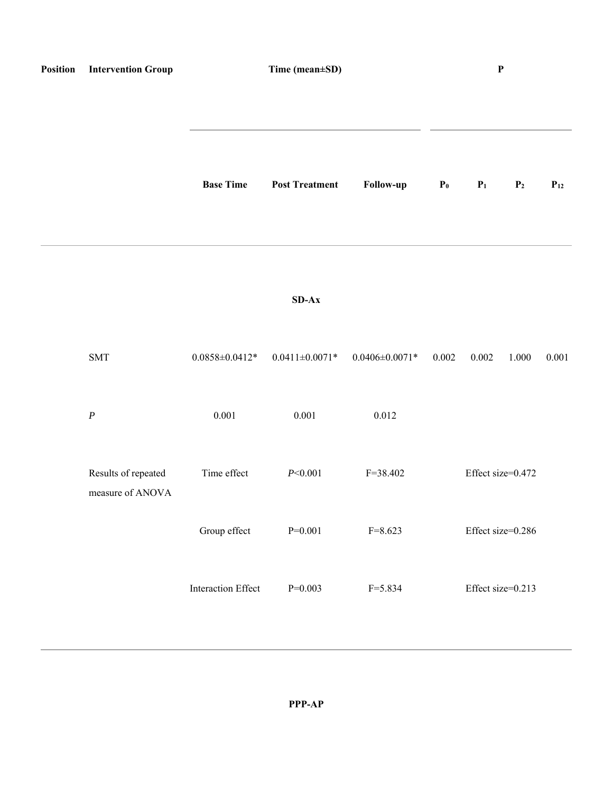| Position | <b>Intervention Group</b>               | Time (mean±SD)            |                       |                       |                | $\boldsymbol{\mathrm{P}}$ |                |          |
|----------|-----------------------------------------|---------------------------|-----------------------|-----------------------|----------------|---------------------------|----------------|----------|
|          |                                         |                           |                       |                       |                |                           |                |          |
|          |                                         | <b>Base Time</b>          | <b>Post Treatment</b> | Follow-up             | P <sub>0</sub> | P <sub>1</sub>            | P <sub>2</sub> | $P_{12}$ |
|          |                                         |                           | $SD-AX$               |                       |                |                           |                |          |
|          | <b>SMT</b>                              | $0.0858 \pm 0.0412*$      | $0.0411 \pm 0.0071$ * | $0.0406 \pm 0.0071$ * | 0.002          | 0.002                     | 1.000          | 0.001    |
|          | $\boldsymbol{P}$                        | $0.001\,$                 | $0.001\,$             | 0.012                 |                |                           |                |          |
|          | Results of repeated<br>measure of ANOVA | Time effect               | P<0.001               | $F = 38.402$          |                | Effect size=0.472         |                |          |
|          |                                         | Group effect              | $P=0.001$             | $F = 8.623$           |                | Effect size=0.286         |                |          |
|          |                                         | <b>Interaction Effect</b> | $P=0.003$             | $F = 5.834$           |                | Effect size=0.213         |                |          |
|          |                                         |                           |                       |                       |                |                           |                |          |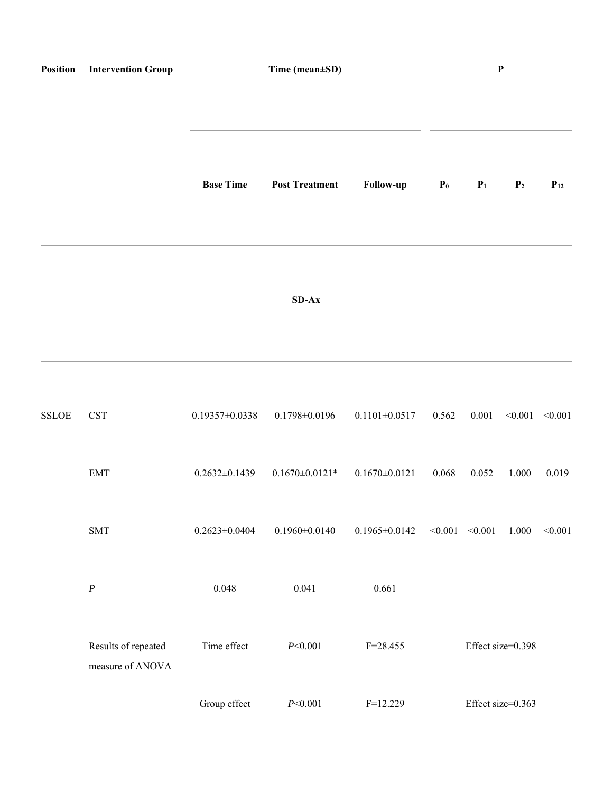| Position     | <b>Intervention Group</b>               | Time (mean±SD)       |                       |                     | $\boldsymbol{\mathrm{P}}$ |                     |                   |                     |
|--------------|-----------------------------------------|----------------------|-----------------------|---------------------|---------------------------|---------------------|-------------------|---------------------|
|              |                                         | <b>Base Time</b>     | <b>Post Treatment</b> | Follow-up           | P <sub>0</sub>            | P <sub>1</sub>      | $\mathbf{P}_2$    | $P_{12}$            |
|              |                                         |                      | $SD-Ax$               |                     |                           |                     |                   |                     |
| <b>SSLOE</b> | <b>CST</b>                              | $0.19357 \pm 0.0338$ | $0.1798 \pm 0.0196$   | $0.1101 \pm 0.0517$ | 0.562                     | 0.001               |                   | $< 0.001$ $< 0.001$ |
|              | $\ensuremath{\mathrm{EMT}}$             | $0.2632 \pm 0.1439$  | $0.1670 \pm 0.0121*$  | $0.1670 \pm 0.0121$ | 0.068                     | 0.052               | 1.000             | 0.019               |
|              | $\operatorname{SMT}$                    | $0.2623 \pm 0.0404$  | $0.1960 \pm 0.0140$   | $0.1965 \pm 0.0142$ |                           | $< 0.001$ $< 0.001$ | 1.000             | < 0.001             |
|              | $\boldsymbol{P}$                        | 0.048                | 0.041                 | 0.661               |                           |                     |                   |                     |
|              | Results of repeated<br>measure of ANOVA | Time effect          | P<0.001               | $F = 28.455$        |                           |                     | Effect size=0.398 |                     |

Group effect  $P < 0.001$  F=12.229 Effect size=0.363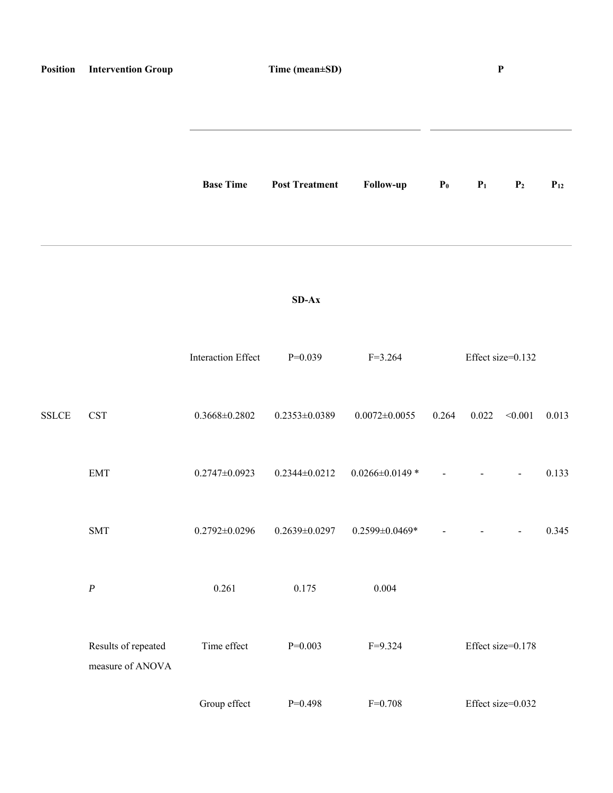| Position     | <b>Intervention Group</b>               | Time (mean±SD)            |                       |                       |                | ${\bf P}$                |                   |          |
|--------------|-----------------------------------------|---------------------------|-----------------------|-----------------------|----------------|--------------------------|-------------------|----------|
|              |                                         |                           |                       |                       |                |                          |                   |          |
|              |                                         | <b>Base Time</b>          | <b>Post Treatment</b> | Follow-up             | P <sub>0</sub> | P <sub>1</sub>           | P <sub>2</sub>    | $P_{12}$ |
|              |                                         |                           |                       |                       |                |                          |                   |          |
|              |                                         |                           | $SD-Ax$               |                       |                |                          |                   |          |
|              |                                         | <b>Interaction Effect</b> | $P=0.039$             | $F=3.264$             |                |                          | Effect size=0.132 |          |
| <b>SSLCE</b> | <b>CST</b>                              | $0.3668 \pm 0.2802$       | $0.2353 \pm 0.0389$   | $0.0072 \pm 0.0055$   | 0.264          | 0.022                    | < 0.001           | 0.013    |
|              | <b>EMT</b>                              | $0.2747 \pm 0.0923$       | $0.2344 \pm 0.0212$   | $0.0266 \pm 0.0149$ * | $\blacksquare$ | $\overline{\phantom{a}}$ | $\blacksquare$    | 0.133    |
|              | <b>SMT</b>                              | $0.2792 \pm 0.0296$       | $0.2639 \pm 0.0297$   | $0.2599 \pm 0.0469$ * |                |                          | $\overline{a}$    | 0.345    |
|              | $\boldsymbol{P}$                        | 0.261                     | 0.175                 | 0.004                 |                |                          |                   |          |
|              | Results of repeated<br>measure of ANOVA | Time effect               | $P=0.003$             | $F=9.324$             |                |                          | Effect size=0.178 |          |
|              |                                         | Group effect              | $P=0.498$             | $F = 0.708$           |                |                          | Effect size=0.032 |          |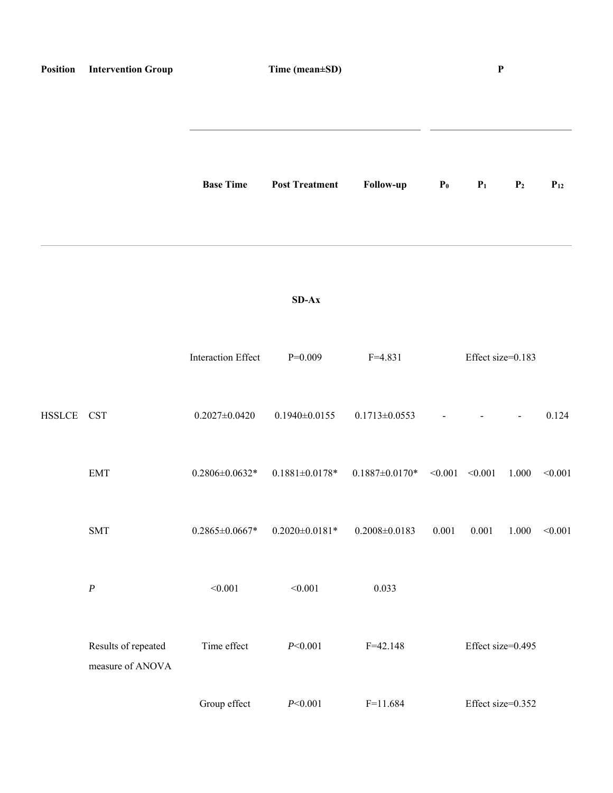| Position   | <b>Intervention Group</b>               | $\mathbf P$<br>Time (mean±SD) |                       |                                         |                |                   |                |          |
|------------|-----------------------------------------|-------------------------------|-----------------------|-----------------------------------------|----------------|-------------------|----------------|----------|
|            |                                         | <b>Base Time</b>              | <b>Post Treatment</b> | Follow-up                               | P <sub>0</sub> | P <sub>1</sub>    | P <sub>2</sub> | $P_{12}$ |
|            |                                         |                               | $SD-Ax$               |                                         |                |                   |                |          |
|            |                                         | <b>Interaction Effect</b>     | $P=0.009$             | $F=4.831$                               |                | Effect size=0.183 |                |          |
| HSSLCE CST |                                         | $0.2027 \pm 0.0420$           | $0.1940\pm0.0155$     | $0.1713 \pm 0.0553$                     |                |                   | $\blacksquare$ | 0.124    |
|            | <b>EMT</b>                              | $0.2806 \pm 0.0632$ *         | $0.1881 \pm 0.0178$ * | $0.1887 \pm 0.0170^*$ < $0.001$ < 0.001 |                |                   | 1.000          | < 0.001  |
|            | <b>SMT</b>                              | $0.2865 \pm 0.0667$ *         | $0.2020 \pm 0.0181$ * | $0.2008 \pm 0.0183$                     | $0.001\,$      | 0.001             | 1.000          | < 0.001  |
|            | $\boldsymbol{P}$                        | < 0.001                       | < 0.001               | 0.033                                   |                |                   |                |          |
|            | Results of repeated<br>measure of ANOVA | Time effect                   | P<0.001               | $F = 42.148$                            |                | Effect size=0.495 |                |          |
|            |                                         | Group effect                  | P<0.001               | $F=11.684$                              |                | Effect size=0.352 |                |          |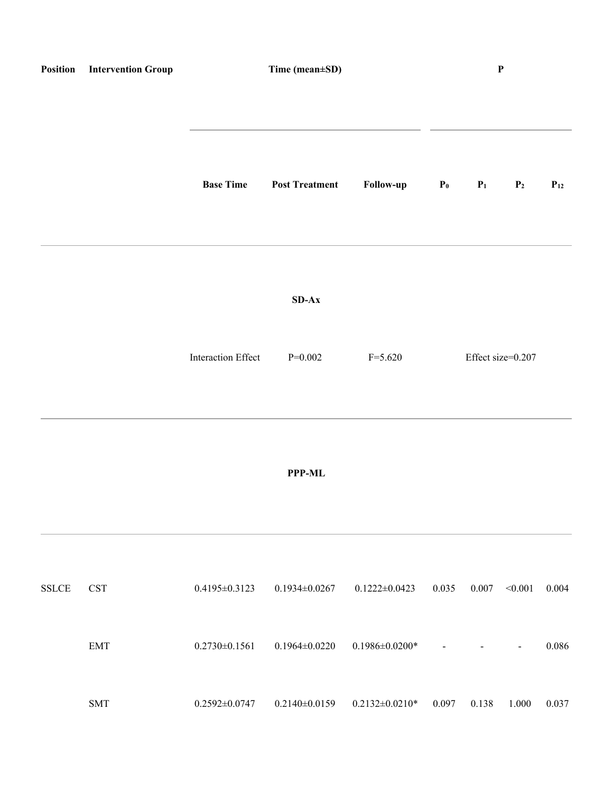| Position               | <b>Intervention Group</b>   |                           | Time (mean±SD)        |                       |                | ${\bf P}$      |                   |          |  |
|------------------------|-----------------------------|---------------------------|-----------------------|-----------------------|----------------|----------------|-------------------|----------|--|
|                        |                             | <b>Base Time</b>          | <b>Post Treatment</b> | Follow-up             | P <sub>0</sub> | P <sub>1</sub> | P <sub>2</sub>    | $P_{12}$ |  |
|                        |                             |                           | $SD-AX$               |                       |                |                |                   |          |  |
|                        |                             | <b>Interaction Effect</b> | $P=0.002$             | $F = 5.620$           |                |                | Effect size=0.207 |          |  |
|                        |                             |                           | <b>PPP-ML</b>         |                       |                |                |                   |          |  |
| $\operatorname{SSLCE}$ | <b>CST</b>                  | $0.4195 \pm 0.3123$       | $0.1934 \pm 0.0267$   | $0.1222 \pm 0.0423$   | 0.035          | 0.007          | < 0.001           | 0.004    |  |
|                        | $\ensuremath{\mathrm{EMT}}$ | $0.2730 \pm 0.1561$       | $0.1964 \pm 0.0220$   | $0.1986 \pm 0.0200$ * |                |                | $\qquad \qquad -$ | 0.086    |  |
|                        | <b>SMT</b>                  | $0.2592 \pm 0.0747$       | $0.2140 \pm 0.0159$   | $0.2132 \pm 0.0210^*$ | 0.097          | 0.138          | 1.000             | 0.037    |  |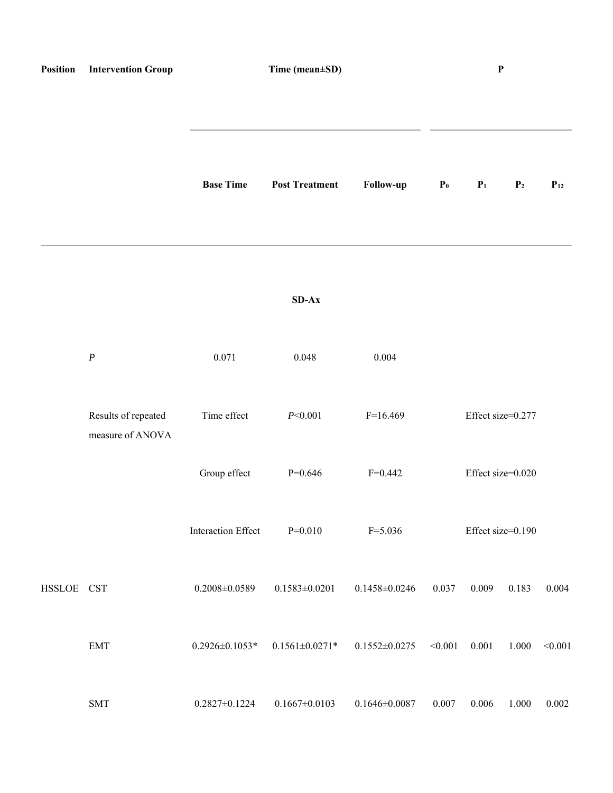| Position   | <b>Intervention Group</b>               | Time (mean±SD)            |                       |                     | $\boldsymbol{\textbf{P}}$ |       |                   |          |
|------------|-----------------------------------------|---------------------------|-----------------------|---------------------|---------------------------|-------|-------------------|----------|
|            |                                         | <b>Base Time</b>          | <b>Post Treatment</b> | Follow-up           | P <sub>0</sub>            | $P_1$ | P <sub>2</sub>    | $P_{12}$ |
|            |                                         |                           | $SD-Ax$               |                     |                           |       |                   |          |
|            | $\boldsymbol{P}$                        | 0.071                     | 0.048                 | 0.004               |                           |       |                   |          |
|            | Results of repeated<br>measure of ANOVA | Time effect               | P<0.001               | $F=16.469$          |                           |       | Effect size=0.277 |          |
|            |                                         | Group effect              | $P=0.646$             | $F=0.442$           |                           |       | Effect size=0.020 |          |
|            |                                         | <b>Interaction Effect</b> | $P=0.010$             | $F = 5.036$         |                           |       | Effect size=0.190 |          |
| HSSLOE CST |                                         | $0.2008 \pm 0.0589$       | $0.1583 \pm 0.0201$   | $0.1458 \pm 0.0246$ | 0.037                     | 0.009 | 0.183             | 0.004    |
|            | $\ensuremath{\mathrm{EMT}}$             | $0.2926 \pm 0.1053$ *     | $0.1561 \pm 0.0271$ * | $0.1552 \pm 0.0275$ | < 0.001                   | 0.001 | 1.000             | < 0.001  |
|            | <b>SMT</b>                              | $0.2827 \pm 0.1224$       | $0.1667 \pm 0.0103$   | $0.1646 \pm 0.0087$ | 0.007                     | 0.006 | 1.000             | 0.002    |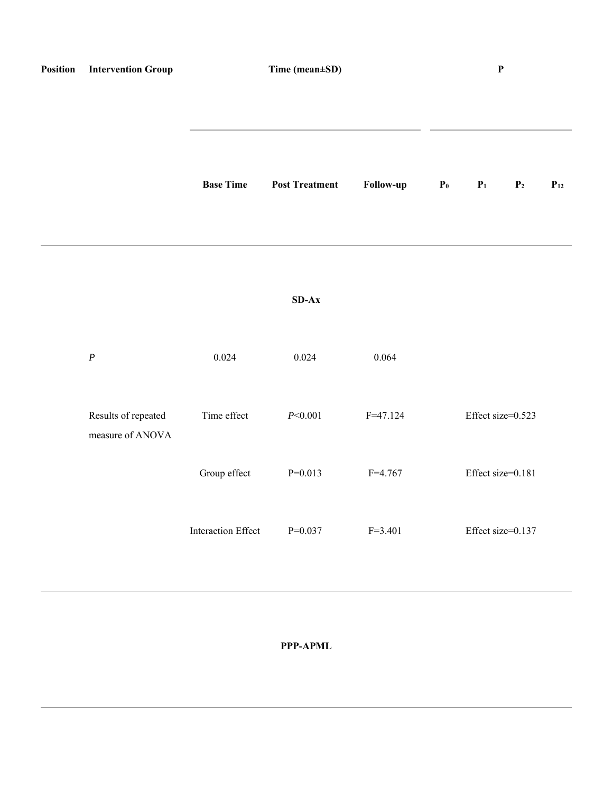| Position | <b>Intervention Group</b>               | Time (mean±SD)            |                       | $\mathbf P$  |       |                   |                |          |
|----------|-----------------------------------------|---------------------------|-----------------------|--------------|-------|-------------------|----------------|----------|
|          |                                         | <b>Base Time</b>          | <b>Post Treatment</b> | Follow-up    | $P_0$ | P <sub>1</sub>    | P <sub>2</sub> | $P_{12}$ |
|          |                                         |                           | $SD-AX$               |              |       |                   |                |          |
|          | $\boldsymbol{P}$                        | 0.024                     | 0.024                 | 0.064        |       |                   |                |          |
|          | Results of repeated<br>measure of ANOVA | Time effect               | P<0.001               | $F = 47.124$ |       | Effect size=0.523 |                |          |
|          |                                         | Group effect              | $P=0.013$             | $F = 4.767$  |       | Effect size=0.181 |                |          |
|          |                                         | <b>Interaction Effect</b> | $P=0.037$             | $F = 3.401$  |       | Effect size=0.137 |                |          |

**PPP-APML**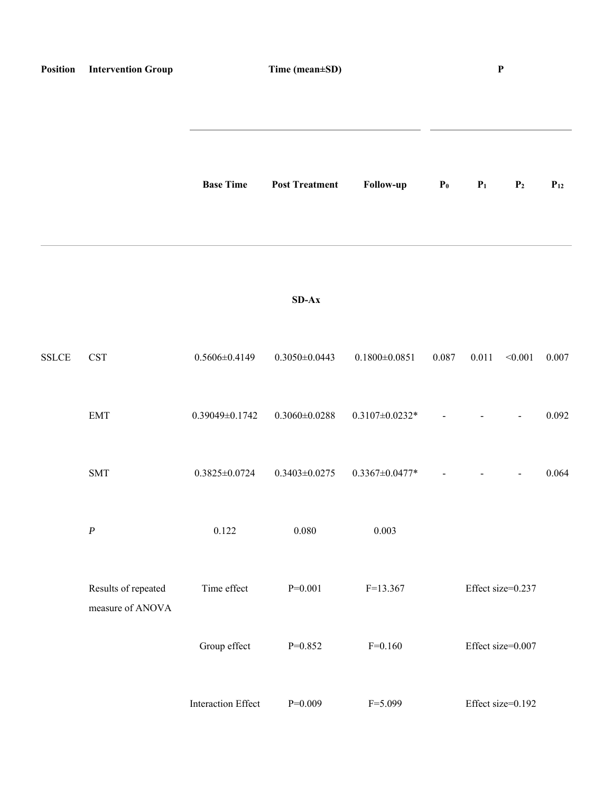| Position     | <b>Intervention Group</b>               | Time (mean±SD)            |                       |                       | $\mathbf P$    |                |                          |          |
|--------------|-----------------------------------------|---------------------------|-----------------------|-----------------------|----------------|----------------|--------------------------|----------|
|              |                                         | <b>Base Time</b>          | <b>Post Treatment</b> | Follow-up             | P <sub>0</sub> | P <sub>1</sub> | P <sub>2</sub>           | $P_{12}$ |
|              |                                         |                           | $SD-Ax$               |                       |                |                |                          |          |
| <b>SSLCE</b> | <b>CST</b>                              | $0.5606 \pm 0.4149$       | $0.3050 \pm 0.0443$   | $0.1800 \pm 0.0851$   | 0.087          | 0.011          | < 0.001                  | 0.007    |
|              | <b>EMT</b>                              | $0.39049\pm0.1742$        | $0.3060 \pm 0.0288$   | $0.3107 \pm 0.0232$ * |                |                | $\blacksquare$           | 0.092    |
|              | $\operatorname{SMT}$                    | $0.3825 \pm 0.0724$       | $0.3403 \pm 0.0275$   | $0.3367 \pm 0.0477$ * |                | $\blacksquare$ | $\overline{\phantom{a}}$ | 0.064    |
|              | $\boldsymbol{P}$                        | 0.122                     | $0.080\,$             | 0.003                 |                |                |                          |          |
|              | Results of repeated<br>measure of ANOVA | Time effect               | $P=0.001$             | $F=13.367$            |                |                | Effect size=0.237        |          |
|              |                                         | Group effect              | $P=0.852$             | $F=0.160$             |                |                | Effect size=0.007        |          |
|              |                                         | <b>Interaction Effect</b> | $P=0.009$             | $F = 5.099$           |                |                | Effect size=0.192        |          |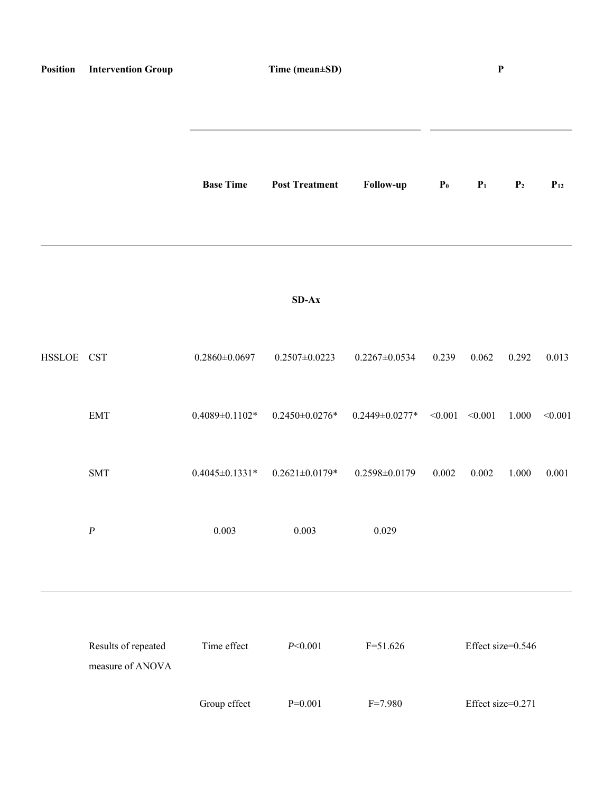| Position   | <b>Intervention Group</b>               | Time (mean±SD)       |                                             |                                     | $\mathbf P$    |                   |                |          |
|------------|-----------------------------------------|----------------------|---------------------------------------------|-------------------------------------|----------------|-------------------|----------------|----------|
|            |                                         | <b>Base Time</b>     | <b>Post Treatment</b>                       | Follow-up                           | P <sub>0</sub> | P <sub>1</sub>    | P <sub>2</sub> | $P_{12}$ |
|            |                                         |                      | $SD-Ax$                                     |                                     |                |                   |                |          |
| HSSLOE CST |                                         | $0.2860\pm0.0697$    | $0.2507 \pm 0.0223$                         | $0.2267 \pm 0.0534$                 | 0.239          | 0.062             | 0.292          | 0.013    |
|            | <b>EMT</b>                              | $0.4089 \pm 0.1102*$ | $0.2450\pm0.0276*$                          | $0.2449 \pm 0.0277$ * <0.001 <0.001 |                |                   | 1.000          | < 0.001  |
|            | $\text{SMT}{}$                          |                      | $0.4045 \pm 0.1331$ * $0.2621 \pm 0.0179$ * | $0.2598 \pm 0.0179$                 | 0.002          | 0.002             | 1.000          | 0.001    |
|            | $\boldsymbol{P}$                        | 0.003                | 0.003                                       | 0.029                               |                |                   |                |          |
|            | Results of repeated<br>measure of ANOVA | Time effect          | P<0.001                                     | $F = 51.626$                        |                | Effect size=0.546 |                |          |
|            |                                         | Group effect         | $P=0.001$                                   | $F = 7.980$                         |                | Effect size=0.271 |                |          |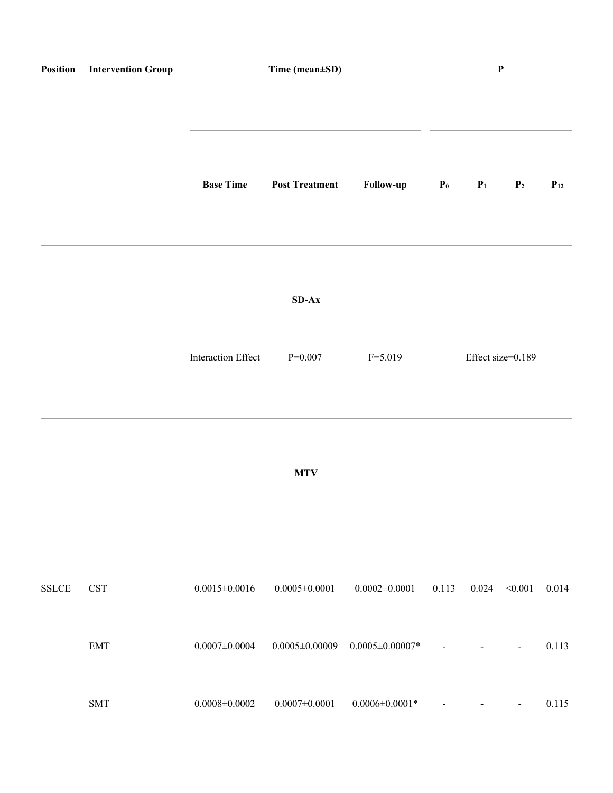|              | <b>Position</b> Intervention Group | Time (mean±SD)            |                       |                            | $\mathbf P$              |       |                          |          |
|--------------|------------------------------------|---------------------------|-----------------------|----------------------------|--------------------------|-------|--------------------------|----------|
|              |                                    | <b>Base Time</b>          | <b>Post Treatment</b> | Follow-up                  | $P_0$                    | $P_1$ | P <sub>2</sub>           | $P_{12}$ |
|              |                                    |                           | $SD-Ax$               |                            |                          |       |                          |          |
|              |                                    | Interaction Effect        | $P=0.007$             | $F = 5.019$                |                          |       | Effect size=0.189        |          |
|              |                                    |                           | <b>MTV</b>            |                            |                          |       |                          |          |
| <b>SSLCE</b> | $\operatorname{CST}$               | $0.0015 \pm 0.0016$       | $0.0005 \pm 0.0001$   | $0.0002 \pm 0.0001$        | 0.113                    | 0.024 | < 0.001                  | 0.014    |
|              | <b>EMT</b>                         | $0.0007 \!\!\pm\! 0.0004$ | $0.0005 \pm 0.00009$  | $0.0005 \pm 0.00007*$      |                          |       |                          | 0.113    |
|              | $\operatorname{SMT}$               | $0.0008 \pm 0.0002$       | $0.0007 \pm 0.0001$   | $0.0006 \!\pm\! 0.0001\!*$ | $\overline{\phantom{a}}$ |       | $\overline{\phantom{a}}$ | 0.115    |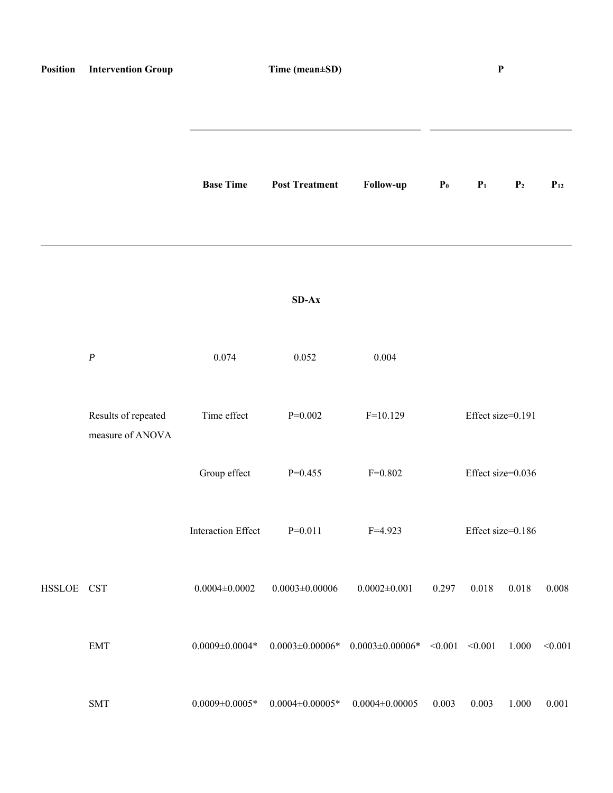| Position   | <b>Intervention Group</b>               | Time (mean±SD)            |                        |                                  | $\boldsymbol{\textbf{P}}$ |                   |                |          |
|------------|-----------------------------------------|---------------------------|------------------------|----------------------------------|---------------------------|-------------------|----------------|----------|
|            |                                         | <b>Base Time</b>          | <b>Post Treatment</b>  | Follow-up                        | P <sub>0</sub>            | $P_1$             | P <sub>2</sub> | $P_{12}$ |
|            |                                         |                           | $SD-Ax$                |                                  |                           |                   |                |          |
|            | $\boldsymbol{P}$                        | 0.074                     | 0.052                  | 0.004                            |                           |                   |                |          |
|            | Results of repeated<br>measure of ANOVA | Time effect               | $P=0.002$              | $F=10.129$                       |                           | Effect size=0.191 |                |          |
|            |                                         | Group effect              | $P=0.455$              | $F=0.802$                        |                           | Effect size=0.036 |                |          |
|            |                                         | <b>Interaction Effect</b> | $P=0.011$              | $F=4.923$                        |                           | Effect size=0.186 |                |          |
| HSSLOE CST |                                         | $0.0004 \pm 0.0002$       | $0.0003 \pm 0.00006$   | $0.0002 \pm 0.001$               | 0.297                     | 0.018             | 0.018          | 0.008    |
|            | <b>EMT</b>                              | $0.0009 \pm 0.0004*$      | $0.0003 \pm 0.00006$ * | $0.0003 \pm 0.00006* \leq 0.001$ |                           | < 0.001           | 1.000          | < 0.001  |
|            | <b>SMT</b>                              | $0.0009 \pm 0.0005$ *     | $0.0004 \pm 0.00005$ * | $0.0004 \pm 0.00005$             | 0.003                     | 0.003             | 1.000          | 0.001    |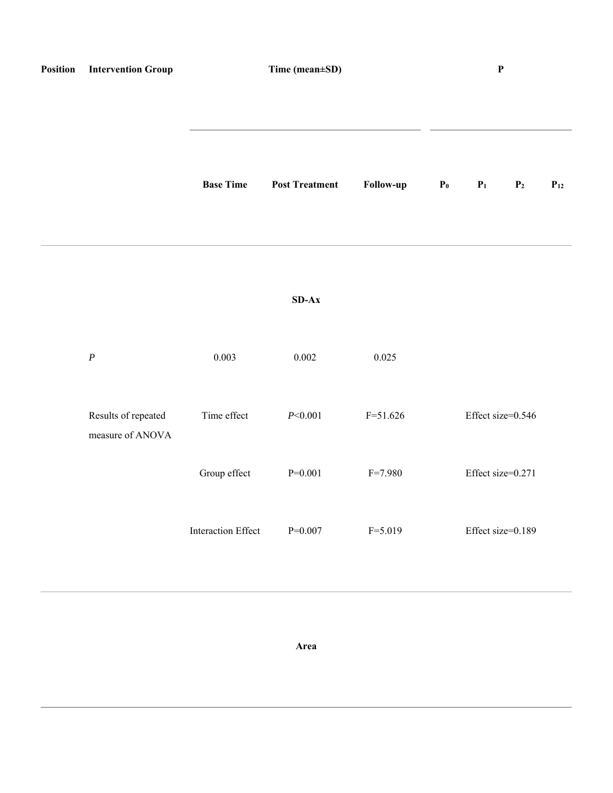| Position | <b>Intervention Group</b>               | Time (mean±SD)            |                       |              | $\boldsymbol{\mathrm{P}}$ |                   |                |          |
|----------|-----------------------------------------|---------------------------|-----------------------|--------------|---------------------------|-------------------|----------------|----------|
|          |                                         | <b>Base Time</b>          | <b>Post Treatment</b> | Follow-up    | $\mathbf{P}_0$            | $\mathbf{P}_1$    | $\mathbf{P}_2$ | $P_{12}$ |
|          |                                         |                           | $SD-Ax$               |              |                           |                   |                |          |
|          | $\boldsymbol{P}$                        | 0.003                     | 0.002                 | 0.025        |                           |                   |                |          |
|          | Results of repeated<br>measure of ANOVA | Time effect               | P<0.001               | $F = 51.626$ |                           | Effect size=0.546 |                |          |
|          |                                         | Group effect              | $P=0.001$             | $F = 7.980$  |                           | Effect size=0.271 |                |          |
|          |                                         | <b>Interaction Effect</b> | $P=0.007$             | $F = 5.019$  |                           | Effect size=0.189 |                |          |

**Area**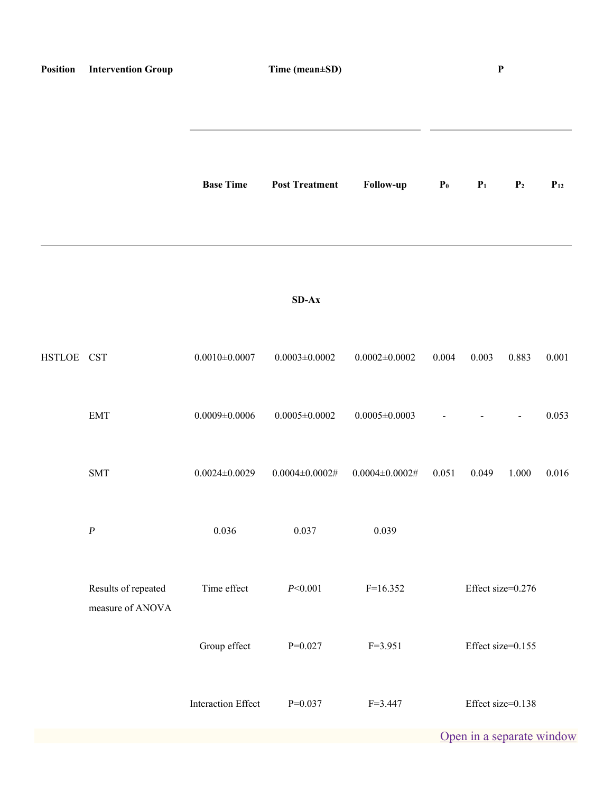| Position   | <b>Intervention Group</b>               | Time (mean±SD)            |                        |                        | $\mathbf{P}$   |       |                           |          |
|------------|-----------------------------------------|---------------------------|------------------------|------------------------|----------------|-------|---------------------------|----------|
|            |                                         | <b>Base Time</b>          | <b>Post Treatment</b>  | Follow-up              | P <sub>0</sub> | $P_1$ | P <sub>2</sub>            | $P_{12}$ |
|            |                                         |                           | $SD-Ax$                |                        |                |       |                           |          |
| HSTLOE CST |                                         | $0.0010\pm0.0007$         | $0.0003 \pm 0.0002$    | $0.0002 \pm 0.0002$    | 0.004          | 0.003 | 0.883                     | 0.001    |
|            | <b>EMT</b>                              | $0.0009 \pm 0.0006$       | $0.0005 \pm 0.0002$    | $0.0005 \pm 0.0003$    |                |       |                           | 0.053    |
|            | <b>SMT</b>                              | $0.0024 \pm 0.0029$       | $0.0004 \pm 0.0002 \#$ | $0.0004 \pm 0.0002 \#$ | 0.051          | 0.049 | 1.000                     | 0.016    |
|            | $\boldsymbol{P}$                        | 0.036                     | 0.037                  | 0.039                  |                |       |                           |          |
|            | Results of repeated<br>measure of ANOVA | Time effect               | P<0.001                | $F=16.352$             |                |       | Effect size=0.276         |          |
|            |                                         | Group effect              | $P=0.027$              | $F=3.951$              |                |       | Effect size=0.155         |          |
|            |                                         | <b>Interaction Effect</b> | $P=0.037$              | $F = 3.447$            |                |       | Effect size=0.138         |          |
|            |                                         |                           |                        |                        |                |       | Open in a separate window |          |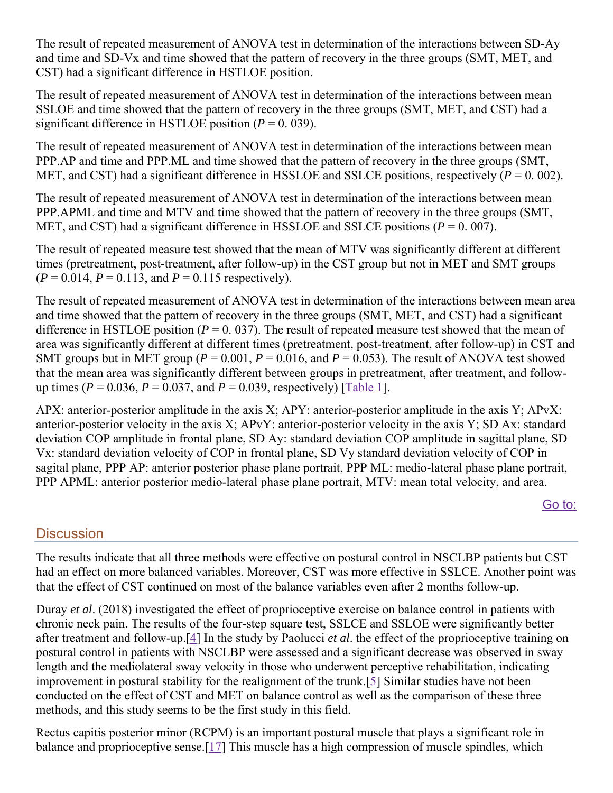The result of repeated measurement of ANOVA test in determination of the interactions between SD-Ay and time and SD-Vx and time showed that the pattern of recovery in the three groups (SMT, MET, and CST) had a significant difference in HSTLOE position.

The result of repeated measurement of ANOVA test in determination of the interactions between mean SSLOE and time showed that the pattern of recovery in the three groups (SMT, MET, and CST) had a significant difference in HSTLOE position  $(P = 0.039)$ .

The result of repeated measurement of ANOVA test in determination of the interactions between mean PPP.AP and time and PPP.ML and time showed that the pattern of recovery in the three groups (SMT, MET, and CST) had a significant difference in HSSLOE and SSLCE positions, respectively  $(P = 0.002)$ .

The result of repeated measurement of ANOVA test in determination of the interactions between mean PPP.APML and time and MTV and time showed that the pattern of recovery in the three groups (SMT, MET, and CST) had a significant difference in HSSLOE and SSLCE positions ( $P = 0.007$ ).

The result of repeated measure test showed that the mean of MTV was significantly different at different times (pretreatment, post-treatment, after follow-up) in the CST group but not in MET and SMT groups  $(P = 0.014, P = 0.113, \text{ and } P = 0.115 \text{ respectively).}$ 

The result of repeated measurement of ANOVA test in determination of the interactions between mean area and time showed that the pattern of recovery in the three groups (SMT, MET, and CST) had a significant difference in HSTLOE position ( $P = 0.037$ ). The result of repeated measure test showed that the mean of area was significantly different at different times (pretreatment, post-treatment, after follow-up) in CST and SMT groups but in MET group ( $P = 0.001$ ,  $P = 0.016$ , and  $P = 0.053$ ). The result of ANOVA test showed that the mean area was significantly different between groups in pretreatment, after treatment, and followup times ( $P = 0.036$ ,  $P = 0.037$ , and  $P = 0.039$ , respectively) [Table 1].

APX: anterior-posterior amplitude in the axis X; APY: anterior-posterior amplitude in the axis Y; APvX: anterior-posterior velocity in the axis X; APvY: anterior-posterior velocity in the axis Y; SD Ax: standard deviation COP amplitude in frontal plane, SD Ay: standard deviation COP amplitude in sagittal plane, SD Vx: standard deviation velocity of COP in frontal plane, SD Vy standard deviation velocity of COP in sagital plane, PPP AP: anterior posterior phase plane portrait, PPP ML: medio-lateral phase plane portrait, PPP APML: anterior posterior medio-lateral phase plane portrait, MTV: mean total velocity, and area.

#### Go to:

# **Discussion**

The results indicate that all three methods were effective on postural control in NSCLBP patients but CST had an effect on more balanced variables. Moreover, CST was more effective in SSLCE. Another point was that the effect of CST continued on most of the balance variables even after 2 months follow-up.

Duray *et al*. (2018) investigated the effect of proprioceptive exercise on balance control in patients with chronic neck pain. The results of the four-step square test, SSLCE and SSLOE were significantly better after treatment and follow-up.[4] In the study by Paolucci *et al*. the effect of the proprioceptive training on postural control in patients with NSCLBP were assessed and a significant decrease was observed in sway length and the mediolateral sway velocity in those who underwent perceptive rehabilitation, indicating improvement in postural stability for the realignment of the trunk.[5] Similar studies have not been conducted on the effect of CST and MET on balance control as well as the comparison of these three methods, and this study seems to be the first study in this field.

Rectus capitis posterior minor (RCPM) is an important postural muscle that plays a significant role in balance and proprioceptive sense.[17] This muscle has a high compression of muscle spindles, which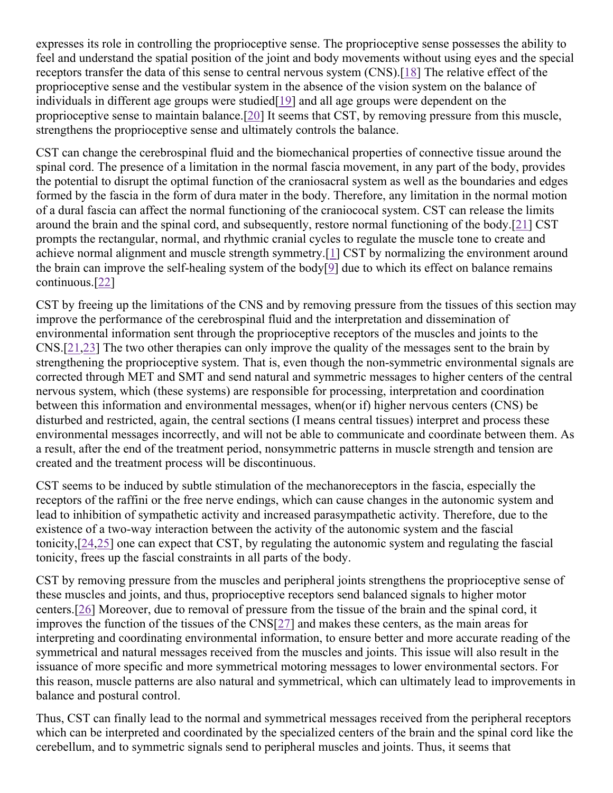expresses its role in controlling the proprioceptive sense. The proprioceptive sense possesses the ability to feel and understand the spatial position of the joint and body movements without using eyes and the special receptors transfer the data of this sense to central nervous system (CNS).[18] The relative effect of the proprioceptive sense and the vestibular system in the absence of the vision system on the balance of individuals in different age groups were studied [19] and all age groups were dependent on the proprioceptive sense to maintain balance.[20] It seems that CST, by removing pressure from this muscle, strengthens the proprioceptive sense and ultimately controls the balance.

CST can change the cerebrospinal fluid and the biomechanical properties of connective tissue around the spinal cord. The presence of a limitation in the normal fascia movement, in any part of the body, provides the potential to disrupt the optimal function of the craniosacral system as well as the boundaries and edges formed by the fascia in the form of dura mater in the body. Therefore, any limitation in the normal motion of a dural fascia can affect the normal functioning of the craniococal system. CST can release the limits around the brain and the spinal cord, and subsequently, restore normal functioning of the body.[21] CST prompts the rectangular, normal, and rhythmic cranial cycles to regulate the muscle tone to create and achieve normal alignment and muscle strength symmetry.[1] CST by normalizing the environment around the brain can improve the self-healing system of the body[ $\frac{9}{2}$ ] due to which its effect on balance remains continuous.[22]

CST by freeing up the limitations of the CNS and by removing pressure from the tissues of this section may improve the performance of the cerebrospinal fluid and the interpretation and dissemination of environmental information sent through the proprioceptive receptors of the muscles and joints to the CNS.[21,23] The two other therapies can only improve the quality of the messages sent to the brain by strengthening the proprioceptive system. That is, even though the non-symmetric environmental signals are corrected through MET and SMT and send natural and symmetric messages to higher centers of the central nervous system, which (these systems) are responsible for processing, interpretation and coordination between this information and environmental messages, when(or if) higher nervous centers (CNS) be disturbed and restricted, again, the central sections (I means central tissues) interpret and process these environmental messages incorrectly, and will not be able to communicate and coordinate between them. As a result, after the end of the treatment period, nonsymmetric patterns in muscle strength and tension are created and the treatment process will be discontinuous.

CST seems to be induced by subtle stimulation of the mechanoreceptors in the fascia, especially the receptors of the raffini or the free nerve endings, which can cause changes in the autonomic system and lead to inhibition of sympathetic activity and increased parasympathetic activity. Therefore, due to the existence of a two-way interaction between the activity of the autonomic system and the fascial tonicity,[24,25] one can expect that CST, by regulating the autonomic system and regulating the fascial tonicity, frees up the fascial constraints in all parts of the body.

CST by removing pressure from the muscles and peripheral joints strengthens the proprioceptive sense of these muscles and joints, and thus, proprioceptive receptors send balanced signals to higher motor centers.[26] Moreover, due to removal of pressure from the tissue of the brain and the spinal cord, it improves the function of the tissues of the CNS[27] and makes these centers, as the main areas for interpreting and coordinating environmental information, to ensure better and more accurate reading of the symmetrical and natural messages received from the muscles and joints. This issue will also result in the issuance of more specific and more symmetrical motoring messages to lower environmental sectors. For this reason, muscle patterns are also natural and symmetrical, which can ultimately lead to improvements in balance and postural control.

Thus, CST can finally lead to the normal and symmetrical messages received from the peripheral receptors which can be interpreted and coordinated by the specialized centers of the brain and the spinal cord like the cerebellum, and to symmetric signals send to peripheral muscles and joints. Thus, it seems that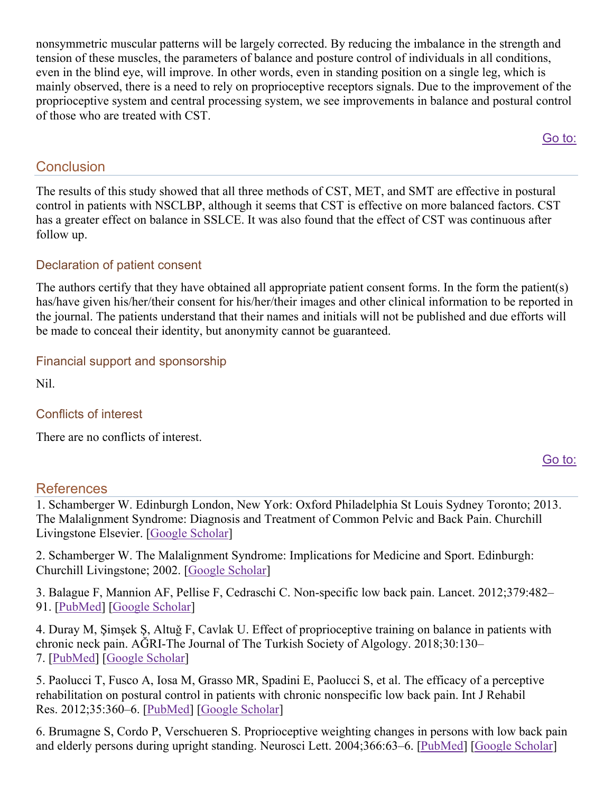nonsymmetric muscular patterns will be largely corrected. By reducing the imbalance in the strength and tension of these muscles, the parameters of balance and posture control of individuals in all conditions, even in the blind eye, will improve. In other words, even in standing position on a single leg, which is mainly observed, there is a need to rely on proprioceptive receptors signals. Due to the improvement of the proprioceptive system and central processing system, we see improvements in balance and postural control of those who are treated with CST.

Go to:

# **Conclusion**

The results of this study showed that all three methods of CST, MET, and SMT are effective in postural control in patients with NSCLBP, although it seems that CST is effective on more balanced factors. CST has a greater effect on balance in SSLCE. It was also found that the effect of CST was continuous after follow up.

## Declaration of patient consent

The authors certify that they have obtained all appropriate patient consent forms. In the form the patient(s) has/have given his/her/their consent for his/her/their images and other clinical information to be reported in the journal. The patients understand that their names and initials will not be published and due efforts will be made to conceal their identity, but anonymity cannot be guaranteed.

## Financial support and sponsorship

Nil.

### Conflicts of interest

There are no conflicts of interest.

#### Go to:

# References

1. Schamberger W. Edinburgh London, New York: Oxford Philadelphia St Louis Sydney Toronto; 2013. The Malalignment Syndrome: Diagnosis and Treatment of Common Pelvic and Back Pain. Churchill Livingstone Elsevier. [Google Scholar]

2. Schamberger W. The Malalignment Syndrome: Implications for Medicine and Sport. Edinburgh: Churchill Livingstone; 2002. [Google Scholar]

3. Balague F, Mannion AF, Pellise F, Cedraschi C. Non-specific low back pain. Lancet. 2012;379:482– 91. [PubMed] [Google Scholar]

4. Duray M, Şimşek Ş, Altuǧ F, Cavlak U. Effect of proprioceptive training on balance in patients with chronic neck pain. AĞRI-The Journal of The Turkish Society of Algology. 2018;30:130– 7. [PubMed] [Google Scholar]

5. Paolucci T, Fusco A, Iosa M, Grasso MR, Spadini E, Paolucci S, et al. The efficacy of a perceptive rehabilitation on postural control in patients with chronic nonspecific low back pain. Int J Rehabil Res. 2012;35:360–6. [PubMed] [Google Scholar]

6. Brumagne S, Cordo P, Verschueren S. Proprioceptive weighting changes in persons with low back pain and elderly persons during upright standing. Neurosci Lett. 2004;366:63–6. [PubMed] [Google Scholar]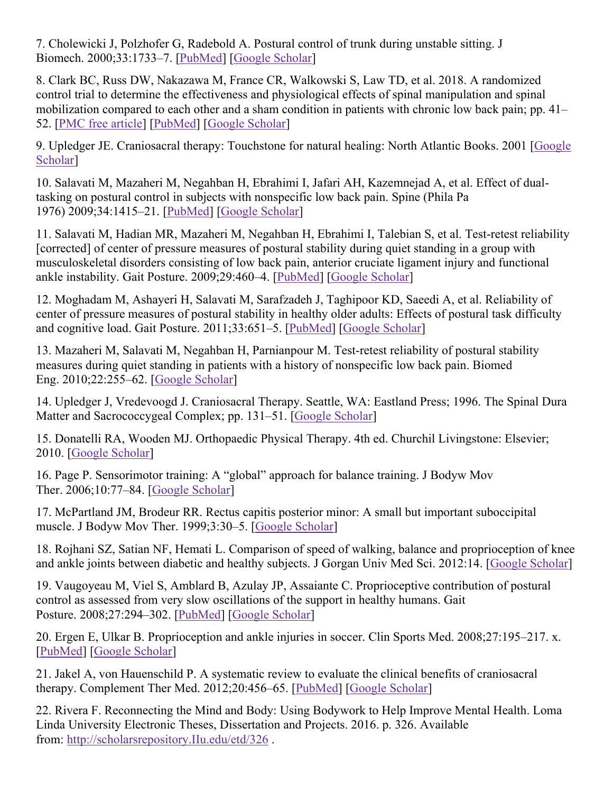7. Cholewicki J, Polzhofer G, Radebold A. Postural control of trunk during unstable sitting. J Biomech. 2000;33:1733–7. [PubMed] [Google Scholar]

8. Clark BC, Russ DW, Nakazawa M, France CR, Walkowski S, Law TD, et al. 2018. A randomized control trial to determine the effectiveness and physiological effects of spinal manipulation and spinal mobilization compared to each other and a sham condition in patients with chronic low back pain; pp. 41– 52. [PMC free article] [PubMed] [Google Scholar]

9. Upledger JE. Craniosacral therapy: Touchstone for natural healing: North Atlantic Books. 2001 [Google Scholar]

10. Salavati M, Mazaheri M, Negahban H, Ebrahimi I, Jafari AH, Kazemnejad A, et al. Effect of dualtasking on postural control in subjects with nonspecific low back pain. Spine (Phila Pa 1976) 2009;34:1415–21. [PubMed] [Google Scholar]

11. Salavati M, Hadian MR, Mazaheri M, Negahban H, Ebrahimi I, Talebian S, et al. Test-retest reliability [corrected] of center of pressure measures of postural stability during quiet standing in a group with musculoskeletal disorders consisting of low back pain, anterior cruciate ligament injury and functional ankle instability. Gait Posture. 2009;29:460–4. [PubMed] [Google Scholar]

12. Moghadam M, Ashayeri H, Salavati M, Sarafzadeh J, Taghipoor KD, Saeedi A, et al. Reliability of center of pressure measures of postural stability in healthy older adults: Effects of postural task difficulty and cognitive load. Gait Posture. 2011;33:651–5. [PubMed] [Google Scholar]

13. Mazaheri M, Salavati M, Negahban H, Parnianpour M. Test-retest reliability of postural stability measures during quiet standing in patients with a history of nonspecific low back pain. Biomed Eng. 2010;22:255–62. [Google Scholar]

14. Upledger J, Vredevoogd J. Craniosacral Therapy. Seattle, WA: Eastland Press; 1996. The Spinal Dura Matter and Sacrococcygeal Complex; pp. 131–51. [Google Scholar]

15. Donatelli RA, Wooden MJ. Orthopaedic Physical Therapy. 4th ed. Churchil Livingstone: Elsevier; 2010. [Google Scholar]

16. Page P. Sensorimotor training: A "global" approach for balance training. J Bodyw Mov Ther. 2006;10:77–84. [Google Scholar]

17. McPartland JM, Brodeur RR. Rectus capitis posterior minor: A small but important suboccipital muscle. J Bodyw Mov Ther. 1999;3:30–5. [Google Scholar]

18. Rojhani SZ, Satian NF, Hemati L. Comparison of speed of walking, balance and proprioception of knee and ankle joints between diabetic and healthy subjects. J Gorgan Univ Med Sci. 2012:14. [Google Scholar]

19. Vaugoyeau M, Viel S, Amblard B, Azulay JP, Assaiante C. Proprioceptive contribution of postural control as assessed from very slow oscillations of the support in healthy humans. Gait Posture. 2008;27:294–302. [PubMed] [Google Scholar]

20. Ergen E, Ulkar B. Proprioception and ankle injuries in soccer. Clin Sports Med. 2008;27:195–217. x. [PubMed] [Google Scholar]

21. Jakel A, von Hauenschild P. A systematic review to evaluate the clinical benefits of craniosacral therapy. Complement Ther Med. 2012;20:456–65. [PubMed] [Google Scholar]

22. Rivera F. Reconnecting the Mind and Body: Using Bodywork to Help Improve Mental Health. Loma Linda University Electronic Theses, Dissertation and Projects. 2016. p. 326. Available from: http://scholarsrepository.IIu.edu/etd/326 .